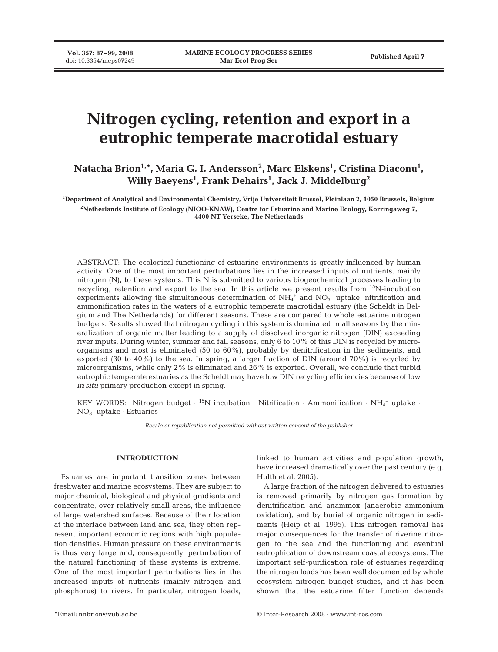**Vol. 357: 87–99, 2008**

# **Nitrogen cycling, retention and export in a eutrophic temperate macrotidal estuary**

 $\mathbf{N}$ atacha Brion $^{1,\ast}$ , Maria G. I. Andersson $^{2}$ , Marc Elskens $^{1}$ , Cristina Diaconu $^{1}$ , **Willy Baeyens1 , Frank Dehairs1 , Jack J. Middelburg2**

**1 Department of Analytical and Environmental Chemistry, Vrije Universiteit Brussel, Pleinlaan 2, 1050 Brussels, Belgium 2 Netherlands Institute of Ecology (NIOO-KNAW), Centre for Estuarine and Marine Ecology, Korringaweg 7, 4400 NT Yerseke, The Netherlands**

ABSTRACT: The ecological functioning of estuarine environments is greatly influenced by human activity. One of the most important perturbations lies in the increased inputs of nutrients, mainly nitrogen (N), to these systems. This N is submitted to various biogeochemical processes leading to recycling, retention and export to the sea. In this article we present results from 15N-incubation experiments allowing the simultaneous determination of  $NH<sub>4</sub>$ <sup>+</sup> and  $NO<sub>3</sub>^-$  uptake, nitrification and ammonification rates in the waters of a eutrophic temperate macrotidal estuary (the Scheldt in Belgium and The Netherlands) for different seasons. These are compared to whole estuarine nitrogen budgets. Results showed that nitrogen cycling in this system is dominated in all seasons by the mineralization of organic matter leading to a supply of dissolved inorganic nitrogen (DIN) exceeding river inputs. During winter, summer and fall seasons, only 6 to 10% of this DIN is recycled by microorganisms and most is eliminated  $(50 \text{ to } 60\%)$ , probably by denitrification in the sediments, and exported (30 to 40%) to the sea. In spring, a larger fraction of DIN (around 70%) is recycled by microorganisms, while only 2% is eliminated and 26% is exported. Overall, we conclude that turbid eutrophic temperate estuaries as the Scheldt may have low DIN recycling efficiencies because of low *in situ* primary production except in spring.

KEY WORDS: Nitrogen budget  $\cdot$  <sup>15</sup>N incubation  $\cdot$  Nitrification  $\cdot$  Ammonification  $\cdot$  NH<sub>4</sub><sup>+</sup> uptake  $\cdot$ NO3 – uptake ⋅ Estuaries

*Resale or republication not permitted without written consent of the publisher*

## **INTRODUCTION**

Estuaries are important transition zones between freshwater and marine ecosystems. They are subject to major chemical, biological and physical gradients and concentrate, over relatively small areas, the influence of large watershed surfaces. Because of their location at the interface between land and sea, they often represent important economic regions with high population densities. Human pressure on these environments is thus very large and, consequently, perturbation of the natural functioning of these systems is extreme. One of the most important perturbations lies in the increased inputs of nutrients (mainly nitrogen and phosphorus) to rivers. In particular, nitrogen loads,

linked to human activities and population growth, have increased dramatically over the past century (e.g. Hulth et al. 2005).

A large fraction of the nitrogen delivered to estuaries is removed primarily by nitrogen gas formation by denitrification and anammox (anaerobic ammonium oxidation), and by burial of organic nitrogen in sediments (Heip et al. 1995). This nitrogen removal has major consequences for the transfer of riverine nitrogen to the sea and the functioning and eventual eutrophication of downstream coastal ecosystems. The important self-purification role of estuaries regarding the nitrogen loads has been well documented by whole ecosystem nitrogen budget studies, and it has been shown that the estuarine filter function depends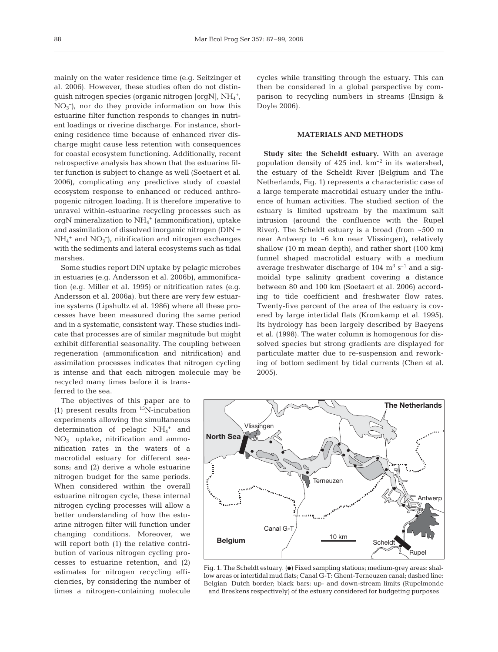mainly on the water residence time (e.g. Seitzinger et al. 2006). However, these studies often do not distinguish nitrogen species (organic nitrogen [orgN],  $\mathrm{NH}_4^+$ ,  $NO<sub>3</sub><sup>-</sup>$ ), nor do they provide information on how this estuarine filter function responds to changes in nutrient loadings or riverine discharge. For instance, shortening residence time because of enhanced river discharge might cause less retention with consequences for coastal ecosystem functioning. Additionally, recent retrospective analysis has shown that the estuarine filter function is subject to change as well (Soetaert et al. 2006), complicating any predictive study of coastal ecosystem response to enhanced or reduced anthropogenic nitrogen loading. It is therefore imperative to unravel within-estuarine recycling processes such as orgN mineralization to  $NH_4^+$  (ammonification), uptake and assimilation of dissolved inorganic nitrogen (DIN =  $NH_4^+$  and  $NO_3^-$ ), nitrification and nitrogen exchanges with the sediments and lateral ecosystems such as tidal marshes.

Some studies report DIN uptake by pelagic microbes in estuaries (e.g. Andersson et al. 2006b), ammonification (e.g. Miller et al. 1995) or nitrification rates (e.g. Andersson et al. 2006a), but there are very few estuarine systems (Lipshultz et al. 1986) where all these processes have been measured during the same period and in a systematic, consistent way. These studies indicate that processes are of similar magnitude but might exhibit differential seasonality. The coupling between regeneration (ammonification and nitrification) and assimilation processes indicates that nitrogen cycling is intense and that each nitrogen molecule may be recycled many times before it is trans-

ferred to the sea.

The objectives of this paper are to (1) present results from  $^{15}$ N-incubation experiments allowing the simultaneous determination of pelagic  $NH_4^+$  and  $NO<sub>3</sub><sup>-</sup>$  uptake, nitrification and ammonification rates in the waters of a macrotidal estuary for different seasons; and (2) derive a whole estuarine nitrogen budget for the same periods. When considered within the overall estuarine nitrogen cycle, these internal nitrogen cycling processes will allow a better understanding of how the estuarine nitrogen filter will function under changing conditions. Moreover, we will report both (1) the relative contribution of various nitrogen cycling processes to estuarine retention, and (2) estimates for nitrogen recycling efficiencies, by considering the number of times a nitrogen-containing molecule

cycles while transiting through the estuary. This can then be considered in a global perspective by comparison to recycling numbers in streams (Ensign & Doyle 2006).

#### **MATERIALS AND METHODS**

**Study site: the Scheldt estuary.** With an average population density of 425 ind.  $km^{-2}$  in its watershed, the estuary of the Scheldt River (Belgium and The Netherlands, Fig. 1) represents a characteristic case of a large temperate macrotidal estuary under the influence of human activities. The studied section of the estuary is limited upstream by the maximum salt intrusion (around the confluence with the Rupel River). The Scheldt estuary is a broad (from  $\sim$  500 m near Antwerp to ~6 km near Vlissingen), relatively shallow (10 m mean depth), and rather short (100 km) funnel shaped macrotidal estuary with a medium average freshwater discharge of 104  $\text{m}^3$  s<sup>-1</sup> and a sigmoidal type salinity gradient covering a distance between 80 and 100 km (Soetaert et al. 2006) according to tide coefficient and freshwater flow rates. Twenty-five percent of the area of the estuary is covered by large intertidal flats (Kromkamp et al. 1995). Its hydrology has been largely described by Baeyens et al. (1998). The water column is homogenous for dissolved species but strong gradients are displayed for particulate matter due to re-suspension and reworking of bottom sediment by tidal currents (Chen et al. 2005).



Fig. 1. The Scheldt estuary. (.) Fixed sampling stations; medium-grey areas: shallow areas or intertidal mud flats; Canal G-T: Ghent-Terneuzen canal; dashed line: Belgian–Dutch border; black bars: up- and down-stream limits (Rupelmonde and Breskens respectively) of the estuary considered for budgeting purposes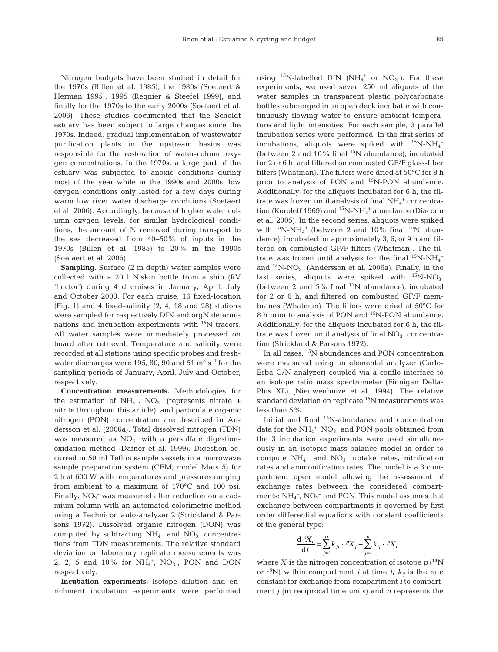Nitrogen budgets have been studied in detail for the 1970s (Billen et al. 1985), the 1980s (Soetaert & Herman 1995), 1995 (Regnier & Steefel 1999), and finally for the 1970s to the early 2000s (Soetaert et al. 2006). These studies documented that the Scheldt estuary has been subject to large changes since the 1970s. Indeed, gradual implementation of wastewater purification plants in the upstream basins was responsible for the restoration of water-column oxygen concentrations. In the 1970s, a large part of the estuary was subjected to anoxic conditions during most of the year while in the 1990s and 2000s, low oxygen conditions only lasted for a few days during warm low river water discharge conditions (Soetaert et al. 2006). Accordingly, because of higher water column oxygen levels, for similar hydrological conditions, the amount of N removed during transport to the sea decreased from 40−50% of inputs in the 1970s (Billen et al. 1985) to 20% in the 1990s (Soetaert et al. 2006).

**Sampling.** Surface (2 m depth) water samples were collected with a 20 l Niskin bottle from a ship (RV 'Luctor') during 4 d cruises in January, April, July and October 2003. For each cruise, 16 fixed-location (Fig. 1) and 4 fixed-salinity (2, 4, 18 and 28) stations were sampled for respectively DIN and orgN determinations and incubation experiments with 15N tracers. All water samples were immediately processed on board after retrieval. Temperature and salinity were recorded at all stations using specific probes and freshwater discharges were 195, 80, 90 and 51  $\mathrm{m}^3 \mathrm{s}^{-1}$  for the sampling periods of January, April, July and October, respectively.

**Concentration measurements.** Methodologies for the estimation of  $NH_4^+$ ,  $NO_3^-$  (represents nitrate + nitrite throughout this article), and particulate organic nitrogen (PON) concentration are described in Andersson et al. (2006a). Total dissolved nitrogen (TDN) was measured as  $NO<sub>3</sub><sup>-</sup>$  with a persulfate digestionoxidation method (Dafner et al. 1999). Digestion occurred in 50 ml Teflon sample vessels in a microwave sample preparation system (CEM, model Mars 5) for 2 h at 600 W with temperatures and pressures ranging from ambient to a maximum of 170°C and 100 psi. Finally, NO<sub>3</sub><sup>-</sup> was measured after reduction on a cadmium column with an automated colorimetric method using a Technicon auto-analyzer 2 (Strickland & Parsons 1972). Dissolved organic nitrogen (DON) was computed by subtracting  $NH_4^+$  and  $NO_3^-$  concentrations from TDN measurements. The relative standard deviation on laboratory replicate measurements was 2, 2, 5 and 10% for  $NH_4^+$ ,  $NO_3^-$ , PON and DON respectively.

**Incubation experiments.** Isotope dilution and enrichment incubation experiments were performed using  $^{15}N$ -labelled DIN (NH<sub>4</sub><sup>+</sup> or NO<sub>3</sub><sup>-</sup>). For these experiments, we used seven 250 ml aliquots of the water samples in transparent plastic polycarbonate bottles submerged in an open deck incubator with continuously flowing water to ensure ambient temperature and light intensities. For each sample, 3 parallel incubation series were performed. In the first series of incubations, aliquots were spiked with  $^{15}N\text{-}NH_{4}^{+}$ (between 2 and 10% final  $^{15}N$  abundance), incubated for 2 or 6 h, and filtered on combusted GF/F glass-fiber filters (Whatman). The filters were dried at 50°C for 8 h prior to analysis of PON and <sup>15</sup>N-PON abundance. Additionally, for the aliquots incubated for 6 h, the filtrate was frozen until analysis of final  $NH_4^+$  concentration (Koroleff 1969) and  ${}^{15}N\text{-}NH_4^+$  abundance (Diaconu et al. 2005). In the second series, aliquots were spiked with  $^{15}N\text{-}NH_4^+$  (between 2 and 10% final  $^{15}N$  abundance), incubated for approximately 3, 6, or 9 h and filtered on combusted GF/F filters (Whatman). The filtrate was frozen until analysis for the final  $^{15}$ N-NH<sub>4</sub><sup>+</sup> and  ${}^{15}N\text{-}NO_3^-$  (Andersson et al. 2006a). Finally, in the last series, aliquots were spiked with  ${}^{15}N\text{-}NO_3^-$ (between 2 and 5% final  $^{15}N$  abundance), incubated for 2 or 6 h, and filtered on combusted GF/F membranes (Whatman). The filters were dried at 50°C for 8 h prior to analysis of PON and 15N-PON abundance. Additionally, for the aliquots incubated for 6 h, the filtrate was frozen until analysis of final  $NO<sub>3</sub><sup>-</sup>$  concentration (Strickland & Parsons 1972).

In all cases, <sup>15</sup>N abundances and PON concentration were measured using an elemental analyzer (Carlo-Erba C/N analyzer) coupled via a conflo-interface to an isotope ratio mass spectrometer (Finnigan Delta-Plus XL) (Nieuwenhuize et al. 1994). The relative standard deviation on replicate  $15N$  measurements was less than 5%.

Initial and final 15N-abundance and concentration data for the  $\mathrm{NH}_4^+$ ,  $\mathrm{NO_3^-}$  and PON pools obtained from the 3 incubation experiments were used simultaneously in an isotopic mass-balance model in order to compute  $NH_4^+$  and  $NO_3^-$  uptake rates, nitrification rates and ammonification rates. The model is a 3 compartment open model allowing the assessment of exchange rates between the considered compartments:  $NH_4^+$ ,  $NO_3^-$  and PON. This model assumes that exchange between compartments is governed by first order differential equations with constant coefficients of the general type:

$$
\frac{\mathrm{d}^{p}X_{i}}{\mathrm{d}t} = \sum_{j\neq i}^{n}k_{ji} \cdot {^{p}X}_{j} - \sum_{j\neq i}^{n}k_{ij} \cdot {^{p}X}_{i}
$$

where  $X_i$  is the nitrogen concentration of isotope  $p\,(^{14}N)$ or <sup>15</sup>N) within compartment *i* at time *t*,  $k_{ii}$  is the rate constant for exchange from compartment *i* to compartment *j* (in reciprocal time units) and *n* represents the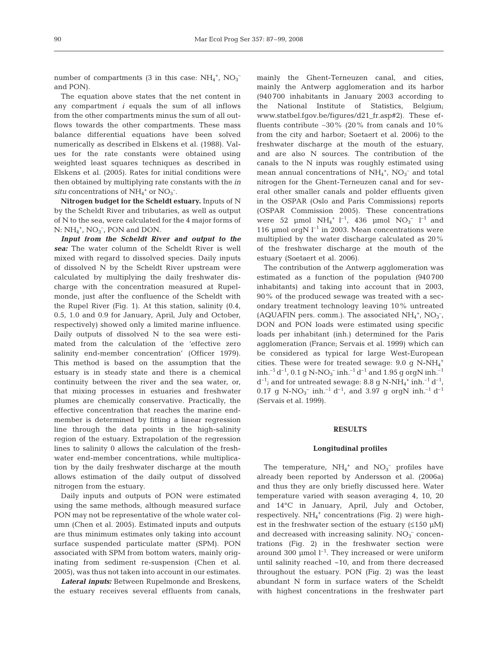number of compartments (3 in this case:  $NH_4^+$ ,  $NO_3^$ and PON).

The equation above states that the net content in any compartment *i* equals the sum of all inflows from the other compartments minus the sum of all outflows towards the other compartments. These mass balance differential equations have been solved numerically as described in Elskens et al. (1988). Values for the rate constants were obtained using weighted least squares techniques as described in Elskens et al. (2005). Rates for initial conditions were then obtained by multiplying rate constants with the *in situ* concentrations of  $NH_4^+$  or  $NO_3^-$ .

**Nitrogen budget for the Scheldt estuary.** Inputs of N by the Scheldt River and tributaries, as well as output of N to the sea, were calculated for the 4 major forms of  $N: NH_4^+$ ,  $NO_3^-$ , PON and DON.

*Input from the Scheldt River and output to the sea:* The water column of the Scheldt River is well mixed with regard to dissolved species. Daily inputs of dissolved N by the Scheldt River upstream were calculated by multiplying the daily freshwater discharge with the concentration measured at Rupelmonde, just after the confluence of the Scheldt with the Rupel River (Fig. 1). At this station, salinity (0.4, 0.5, 1.0 and 0.9 for January, April, July and October, respectively) showed only a limited marine influence. Daily outputs of dissolved N to the sea were estimated from the calculation of the 'effective zero salinity end-member concentration' (Officer 1979). This method is based on the assumption that the estuary is in steady state and there is a chemical continuity between the river and the sea water, or, that mixing processes in estuaries and freshwater plumes are chemically conservative. Practically, the effective concentration that reaches the marine endmember is determined by fitting a linear regression line through the data points in the high-salinity region of the estuary. Extrapolation of the regression lines to salinity 0 allows the calculation of the freshwater end-member concentrations, while multiplication by the daily freshwater discharge at the mouth allows estimation of the daily output of dissolved nitrogen from the estuary.

Daily inputs and outputs of PON were estimated using the same methods, although measured surface PON may not be representative of the whole water column (Chen et al. 2005). Estimated inputs and outputs are thus minimum estimates only taking into account surface suspended particulate matter (SPM). PON associated with SPM from bottom waters, mainly originating from sediment re-suspension (Chen et al. 2005), was thus not taken into account in our estimates.

*Lateral inputs:* Between Rupelmonde and Breskens, the estuary receives several effluents from canals, mainly the Ghent-Terneuzen canal, and cities, mainly the Antwerp agglomeration and its harbor (940 700 inhabitants in January 2003 according to the National Institute of Statistics, Belgium; www.statbel.fgov.be/figures/d21\_fr.asp#2). These effluents contribute ∼30% (20% from canals and 10% from the city and harbor; Soetaert et al. 2006) to the freshwater discharge at the mouth of the estuary, and are also N sources. The contribution of the canals to the N inputs was roughly estimated using mean annual concentrations of  $NH_4^+$ ,  $NO_3^-$  and total nitrogen for the Ghent-Terneuzen canal and for several other smaller canals and polder effluents given in the OSPAR (Oslo and Paris Commissions) reports (OSPAR Commission 2005). These concentrations were 52  $\mu$ mol NH<sub>4</sub><sup>+</sup> l<sup>-1</sup>, 436  $\mu$ mol NO<sub>3</sub><sup>-</sup> l<sup>-1</sup> and 116 µmol orgN  $l^{-1}$  in 2003. Mean concentrations were multiplied by the water discharge calculated as 20% of the freshwater discharge at the mouth of the estuary (Soetaert et al. 2006).

The contribution of the Antwerp agglomeration was estimated as a function of the population (940 700 inhabitants) and taking into account that in 2003, 90% of the produced sewage was treated with a secondary treatment technology leaving 10% untreated (AQUAFIN pers. comm.). The associated  $NH_4^+$ ,  $NO_3^-$ , DON and PON loads were estimated using specific loads per inhabitant (inh.) determined for the Paris agglomeration (France; Servais et al. 1999) which can be considered as typical for large West-European cities. These were for treated sewage:  $9.0$  g N-NH<sub>4</sub><sup>+</sup>  $\mathrm{inh.}^{-1}\,\mathrm{d}^{-1}$ ,  $0.1\mathrm{~g~N\text{-}NO_3^-}$  inh. $^{-1}\,\mathrm{d}^{-1}$  and  $1.95\mathrm{~g~orgN}$  inh. $^{-1}$  $d^{-1}$ ; and for untreated sewage: 8.8 g N-NH<sub>4</sub><sup>+</sup> inh.<sup>-1</sup>  $d^{-1}$ ,  $0.17$  g N-NO<sub>3</sub><sup>-</sup> inh.<sup>-1</sup> d<sup>-1</sup>, and 3.97 g orgN inh.<sup>-1</sup> d<sup>-1</sup> (Servais et al. 1999).

## **RESULTS**

## **Longitudinal profiles**

The temperature,  $NH_4^+$  and  $NO_3^-$  profiles have already been reported by Andersson et al. (2006a) and thus they are only briefly discussed here. Water temperature varied with season averaging 4, 10, 20 and 14°C in January, April, July and October, respectively.  $NH_4^+$  concentrations (Fig. 2) were highest in the freshwater section of the estuary  $(≤150 \mu M)$ and decreased with increasing salinity.  $NO<sub>3</sub><sup>-</sup>$  concentrations (Fig. 2) in the freshwater section were around 300  $\mu$ mol  $l^{-1}$ . They increased or were uniform until salinity reached ~10, and from there decreased throughout the estuary. PON (Fig. 2) was the least abundant N form in surface waters of the Scheldt with highest concentrations in the freshwater part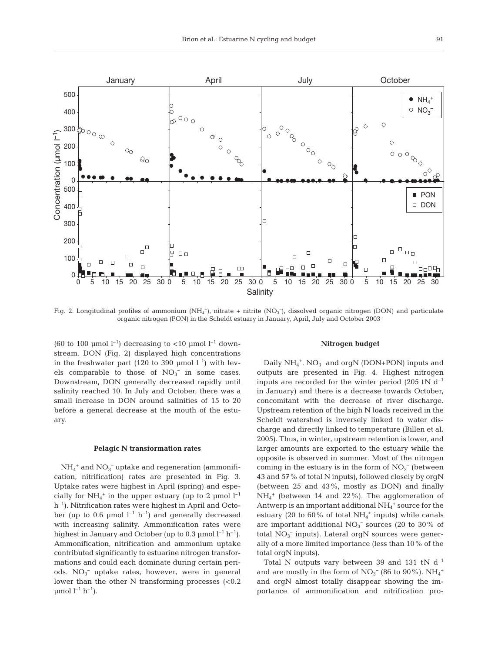

Fig. 2. Longitudinal profiles of ammonium  $(NH_4^+)$ , nitrate + nitrite  $(NO_3^-)$ , dissolved organic nitrogen (DON) and particulate organic nitrogen (PON) in the Scheldt estuary in January, April, July and October 2003

(60 to 100 µmol  $l^{-1}$ ) decreasing to <10 µmol  $l^{-1}$  downstream. DON (Fig. 2) displayed high concentrations in the freshwater part (120 to 390 µmol  $l^{-1}$ ) with levels comparable to those of  $NO<sub>3</sub><sup>-</sup>$  in some cases. Downstream, DON generally decreased rapidly until salinity reached 10. In July and October, there was a small increase in DON around salinities of 15 to 20 before a general decrease at the mouth of the estuary.

#### **Pelagic N transformation rates**

 $NH_4^+$  and  $NO_3^-$  uptake and regeneration (ammonification, nitrification) rates are presented in Fig. 3. Uptake rates were highest in April (spring) and especially for  $NH_4^+$  in the upper estuary (up to 2 µmol  $l^{-1}$  $h^{-1}$ ). Nitrification rates were highest in April and October (up to 0.6 µmol  $l^{-1}$  h<sup>-1</sup>) and generally decreased with increasing salinity. Ammonification rates were highest in January and October (up to 0.3  $\mu$ mol l<sup>-1</sup> h<sup>-1</sup>). Ammonification, nitrification and ammonium uptake contributed significantly to estuarine nitrogen transformations and could each dominate during certain periods.  $NO<sub>3</sub><sup>-</sup>$  uptake rates, however, were in general lower than the other  $N$  transforming processes  $\approx 0.2$  $\mu$ mol  $l^{-1}$  h<sup>-1</sup>).

#### **Nitrogen budget**

Daily  $NH_4^+$ ,  $NO_3^-$  and orgN (DON+PON) inputs and outputs are presented in Fig. 4. Highest nitrogen inputs are recorded for the winter period (205 tN  $d^{-1}$ in January) and there is a decrease towards October, concomitant with the decrease of river discharge. Upstream retention of the high N loads received in the Scheldt watershed is inversely linked to water discharge and directly linked to temperature (Billen et al. 2005). Thus, in winter, upstream retention is lower, and larger amounts are exported to the estuary while the opposite is observed in summer. Most of the nitrogen coming in the estuary is in the form of  $NO<sub>3</sub><sup>-</sup>$  (between 43 and 57% of total N inputs), followed closely by orgN (between 25 and 43%, mostly as DON) and finally NH4 <sup>+</sup> (between 14 and 22%). The agglomeration of Antwerp is an important additional  $NH_4^+$  source for the estuary (20 to  $60\%$  of total NH<sub>4</sub><sup>+</sup> inputs) while canals are important additional  $NO<sub>3</sub><sup>-</sup>$  sources (20 to 30% of total  $NO<sub>3</sub><sup>-</sup>$  inputs). Lateral orgN sources were generally of a more limited importance (less than 10% of the total orgN inputs).

Total N outputs vary between 39 and 131 tN  $d^{-1}$ and are mostly in the form of  $NO<sub>3</sub><sup>-</sup>$  (86 to 90%).  $NH<sub>4</sub><sup>+</sup>$ and orgN almost totally disappear showing the importance of ammonification and nitrification pro-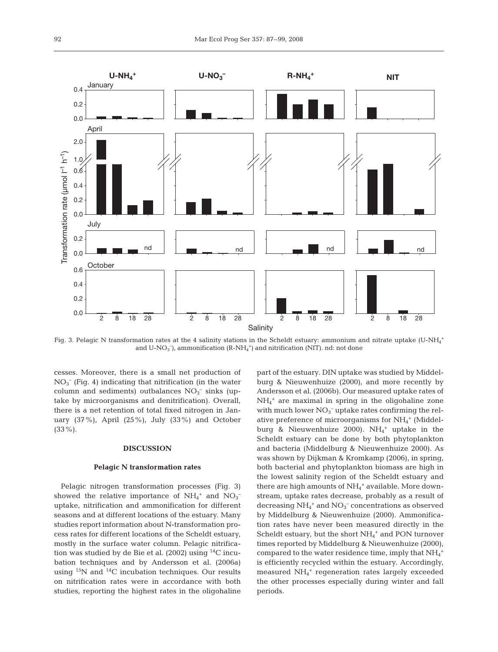

Fig. 3. Pelagic N transformation rates at the 4 salinity stations in the Scheldt estuary: ammonium and nitrate uptake (U-NH $_4^{\rm +}$ and  $U-NO_3^-$ ), ammonification ( $R-NH_4^+$ ) and nitrification (NIT). nd: not done

cesses. Moreover, there is a small net production of  $NO<sub>3</sub><sup>-</sup>$  (Fig. 4) indicating that nitrification (in the water column and sediments) outbalances  $NO<sub>3</sub><sup>-</sup>$  sinks (uptake by microorganisms and denitrification). Overall, there is a net retention of total fixed nitrogen in January (37%), April (25%), July (33%) and October  $(33\%)$ .

## **DISCUSSION**

#### **Pelagic N transformation rates**

Pelagic nitrogen transformation processes (Fig. 3) showed the relative importance of  $NH_4^+$  and  $NO_3^$ uptake, nitrification and ammonification for different seasons and at different locations of the estuary. Many studies report information about N-transformation process rates for different locations of the Scheldt estuary, mostly in the surface water column. Pelagic nitrification was studied by de Bie et al. (2002) using  $^{14}$ C incubation techniques and by Andersson et al. (2006a) using  $15N$  and  $14C$  incubation techniques. Our results on nitrification rates were in accordance with both studies, reporting the highest rates in the oligohaline part of the estuary. DIN uptake was studied by Middelburg & Nieuwenhuize (2000), and more recently by Andersson et al. (2006b). Our measured uptake rates of NH4 <sup>+</sup> are maximal in spring in the oligohaline zone with much lower  $NO<sub>3</sub><sup>-</sup>$  uptake rates confirming the relative preference of microorganisms for  $NH_4^+$  (Middelburg & Nieuwenhuize 2000).  $NH_4^+$  uptake in the Scheldt estuary can be done by both phytoplankton and bacteria (Middelburg & Nieuwenhuize 2000). As was shown by Dijkman & Kromkamp (2006), in spring, both bacterial and phytoplankton biomass are high in the lowest salinity region of the Scheldt estuary and there are high amounts of  $NH_4^+$  available. More downstream, uptake rates decrease, probably as a result of decreasing  $NH_4^+$  and  $NO_3^-$  concentrations as observed by Middelburg & Nieuwenhuize (2000). Ammonification rates have never been measured directly in the Scheldt estuary, but the short  $NH_4^+$  and PON turnover times reported by Middelburg & Nieuwenhuize (2000), compared to the water residence time, imply that  $\mathrm{NH}_4{}^+$ is efficiently recycled within the estuary. Accordingly, measured NH4 <sup>+</sup> regeneration rates largely exceeded the other processes especially during winter and fall periods.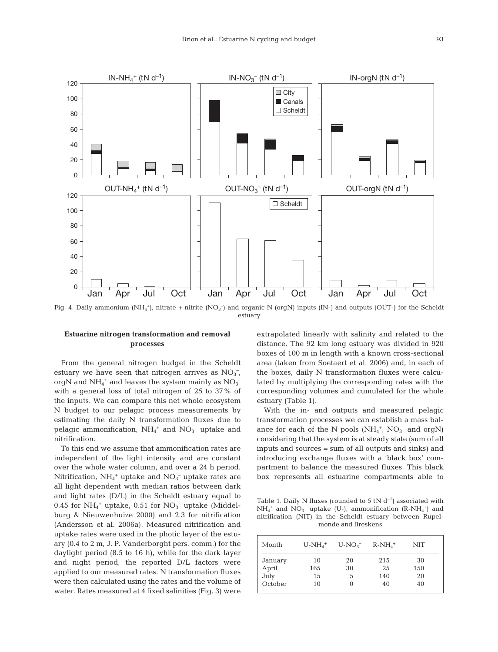

Fig. 4. Daily ammonium  $(NH_4^*)$ , nitrate + nitrite  $(NO_3^-)$  and organic N (orgN) inputs (IN-) and outputs (OUT-) for the Scheldt estuary

## **Estuarine nitrogen transformation and removal processes**

From the general nitrogen budget in the Scheldt estuary we have seen that nitrogen arrives as  $NO<sub>3</sub><sup>-</sup>$ , orgN and  $\mathrm{NH}_4{}^+$  and leaves the system mainly as  $\mathrm{NO_3}^$ with a general loss of total nitrogen of 25 to 37% of the inputs. We can compare this net whole ecosystem N budget to our pelagic process measurements by estimating the daily N transformation fluxes due to pelagic ammonification,  $NH_4^+$  and  $NO_3^-$  uptake and nitrification.

To this end we assume that ammonification rates are independent of the light intensity and are constant over the whole water column, and over a 24 h period. Nitrification,  $NH_4^+$  uptake and  $NO_3^-$  uptake rates are all light dependent with median ratios between dark and light rates (D/L) in the Scheldt estuary equal to 0.45 for  $NH_4^+$  uptake, 0.51 for  $NO_3^-$  uptake (Middelburg & Nieuwenhuize 2000) and 2.3 for nitrification (Andersson et al. 2006a). Measured nitrification and uptake rates were used in the photic layer of the estuary (0.4 to 2 m, J. P. Vanderborght pers. comm.) for the daylight period (8.5 to 16 h), while for the dark layer and night period, the reported D/L factors were applied to our measured rates. N transformation fluxes were then calculated using the rates and the volume of water. Rates measured at 4 fixed salinities (Fig. 3) were extrapolated linearly with salinity and related to the distance. The 92 km long estuary was divided in 920 boxes of 100 m in length with a known cross-sectional area (taken from Soetaert et al. 2006) and, in each of the boxes, daily N transformation fluxes were calculated by multiplying the corresponding rates with the corresponding volumes and cumulated for the whole estuary (Table 1).

With the in- and outputs and measured pelagic transformation processes we can establish a mass balance for each of the N pools  $(NH_4^+$ ,  $NO_3^-$  and orgN) considering that the system is at steady state (sum of all inputs and sources = sum of all outputs and sinks) and introducing exchange fluxes with a 'black box' compartment to balance the measured fluxes. This black box represents all estuarine compartments able to

Table 1. Daily N fluxes (rounded to 5 tN  $d^{-1}$ ) associated with  $NH_4^+$  and  $NO_3^-$  uptake (U-), ammonification (R-NH<sub>4</sub><sup>+</sup>) and nitrification (NIT) in the Scheldt estuary between Rupelmonde and Breskens

| Month            | $U-NH_4^+$ | $U-NO_3^-$ | $R-NH_4^+$ | NIT       |
|------------------|------------|------------|------------|-----------|
| January<br>April | 10<br>165  | 20<br>30   | 215<br>25  | 30<br>150 |
| July             | 15         | 5          | 140        | 20        |
| October          | 10         |            | 40         | 40        |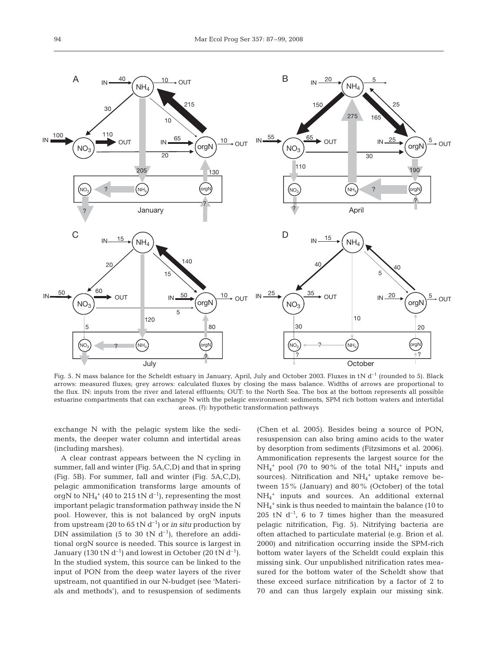

Fig. 5. N mass balance for the Scheldt estuary in January, April, July and October 2003. Fluxes in tN d<sup>-1</sup> (rounded to 5). Black arrows: measured fluxes; grey arrows: calculated fluxes by closing the mass balance. Widths of arrows are proportional to the flux. IN: inputs from the river and lateral effluents; OUT: to the North Sea. The box at the bottom represents all possible estuarine compartments that can exchange N with the pelagic environment: sediments, SPM rich bottom waters and intertidal areas. (?): hypothetic transformation pathways

exchange N with the pelagic system like the sediments, the deeper water column and intertidal areas (including marshes).

A clear contrast appears between the N cycling in summer, fall and winter (Fig. 5A,C,D) and that in spring (Fig. 5B). For summer, fall and winter (Fig. 5A,C,D), pelagic ammonification transforms large amounts of orgN to  $\mathrm{NH_4^+}$  (40 to 215 tN d<sup>-1</sup>), representing the most important pelagic transformation pathway inside the N pool. However, this is not balanced by orgN inputs from upstream (20 to 65 tN  $d^{-1}$ ) or *in situ* production by DIN assimilation (5 to 30 tN  $d^{-1}$ ), therefore an additional orgN source is needed. This source is largest in January (130 tN  $d^{-1}$ ) and lowest in October (20 tN  $d^{-1}$ ). In the studied system, this source can be linked to the input of PON from the deep water layers of the river upstream, not quantified in our N-budget (see 'Materials and methods'), and to resuspension of sediments (Chen et al. 2005). Besides being a source of PON, resuspension can also bring amino acids to the water by desorption from sediments (Fitzsimons et al. 2006). Ammonification represents the largest source for the  $NH_4^+$  pool (70 to 90% of the total  $NH_4^+$  inputs and sources). Nitrification and  $NH_4^+$  uptake remove between 15% (January) and 80% (October) of the total NH4 <sup>+</sup> inputs and sources. An additional external NH4 <sup>+</sup> sink is thus needed to maintain the balance (10 to 205 tN  $d^{-1}$ , 6 to 7 times higher than the measured pelagic nitrification, Fig. 5). Nitrifying bacteria are often attached to particulate material (e.g. Brion et al. 2000) and nitrification occurring inside the SPM-rich bottom water layers of the Scheldt could explain this missing sink. Our unpublished nitrification rates measured for the bottom water of the Scheldt show that these exceed surface nitrification by a factor of 2 to 70 and can thus largely explain our missing sink.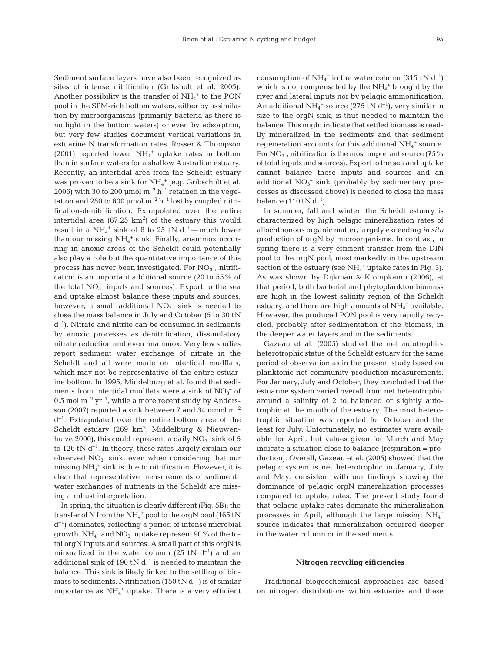Sediment surface layers have also been recognized as sites of intense nitrification (Gribsholt et al. 2005). Another possibility is the transfer of  $NH_4^+$  to the PON pool in the SPM-rich bottom waters, either by assimilation by microorganisms (primarily bacteria as there is no light in the bottom waters) or even by adsorption, but very few studies document vertical variations in estuarine N transformation rates. Rosser & Thompson (2001) reported lower  $NH_4^+$  uptake rates in bottom than in surface waters for a shallow Australian estuary. Recently, an intertidal area from the Scheldt estuary was proven to be a sink for  $NH_4^+$  (e.g. Gribscholt et al. 2006) with 30 to 200 µmol  $m^{-2}$  h<sup>-1</sup> retained in the vegetation and 250 to 600 µmol  $m^{-2}$  h<sup>-1</sup> lost by coupled nitrification-denitrification. Extrapolated over the entire intertidal area (67.25  $\rm km^2)$  of the estuary this would result in a  $NH_4^+$  sink of 8 to 25 tN  $d^{-1}$ —much lower than our missing  $NH_4^+$  sink. Finally, anammox occurring in anoxic areas of the Scheldt could potentially also play a role but the quantitative importance of this process has never been investigated. For  $NO<sub>3</sub><sup>-</sup>$ , nitrification is an important additional source (20 to 55% of the total  $NO<sub>3</sub><sup>-</sup>$  inputs and sources). Export to the sea and uptake almost balance these inputs and sources, however, a small additional  $NO<sub>3</sub><sup>-</sup>$  sink is needed to close the mass balance in July and October (5 to 30 tN  $d^{-1}$ ). Nitrate and nitrite can be consumed in sediments by anoxic processes as denitrification, dissimilatory nitrate reduction and even anammox. Very few studies report sediment water exchange of nitrate in the Scheldt and all were made on intertidal mudflats, which may not be representative of the entire estuarine bottom. In 1995, Middelburg et al. found that sediments from intertidal mudflats were a sink of  $NO<sub>3</sub><sup>-</sup>$  of  $0.5 \text{ mol m}^{-2} \text{ yr}^{-1}$ , while a more recent study by Andersson (2007) reported a sink between 7 and 34 mmol m–2  $d^{-1}$ . Extrapolated over the entire bottom area of the Scheldt estuary (269 km<sup>2</sup>, Middelburg & Nieuwenhuize 2000), this could represent a daily  $NO_3^-$  sink of 5 to 126 tN  $d^{-1}$ . In theory, these rates largely explain our observed  $NO_3^-$  sink, even when considering that our missing NH4 <sup>+</sup> sink is due to nitrification. However, it is clear that representative measurements of sediment− water exchanges of nutrients in the Scheldt are missing a robust interpretation.

In spring, the situation is clearly different (Fig. 5B): the transfer of N from the NH<sub>4</sub><sup>+</sup> pool to the orgN pool (165 tN  $d^{-1}$ ) dominates, reflecting a period of intense microbial growth.  $\mathrm{NH}_4{}^+$  and  $\mathrm{NO_3{}^-}$  uptake represent  $90$  % of the total orgN inputs and sources. A small part of this orgN is mineralized in the water column (25 tN  $d^{-1}$ ) and an additional sink of 190 tN  $d^{-1}$  is needed to maintain the balance. This sink is likely linked to the settling of biomass to sediments. Nitrification (150 tN  $d^{-1}$ ) is of similar importance as NH<sub>4</sub><sup>+</sup> uptake. There is a very efficient

consumption of  $NH_4^+$  in the water column (315 tN d<sup>-1</sup>) which is not compensated by the  $NH_4^+$  brought by the river and lateral inputs nor by pelagic ammonification. An additional  $NH_4^+$  source (275 tN d<sup>-1</sup>), very similar in size to the orgN sink, is thus needed to maintain the balance. This might indicate that settled biomass is readily mineralized in the sediments and that sediment regeneration accounts for this additional  $NH_4^+$  source. For  $NO_3^-$ , nitrification is the most important source (75 %) of total inputs and sources). Export to the sea and uptake cannot balance these inputs and sources and an additional  $NO<sub>3</sub><sup>-</sup>$  sink (probably by sedimentary processes as discussed above) is needed to close the mass balance  $(110 \text{ tN d}^{-1})$ .

In summer, fall and winter, the Scheldt estuary is characterized by high pelagic mineralization rates of allochthonous organic matter, largely exceeding *in situ* production of orgN by microorganisms. In contrast, in spring there is a very efficient transfer from the DIN pool to the orgN pool, most markedly in the upstream section of the estuary (see  $NH_4$ <sup>+</sup> uptake rates in Fig. 3). As was shown by Dijkman & Krompkamp (2006), at that period, both bacterial and phytoplankton biomass are high in the lowest salinity region of the Scheldt estuary, and there are high amounts of  $NH_4^+$  available. However, the produced PON pool is very rapidly recycled, probably after sedimentation of the biomass, in the deeper water layers and in the sediments.

Gazeau et al. (2005) studied the net autotrophicheterotrophic status of the Scheldt estuary for the same period of observation as in the present study based on planktonic net community production measurements. For January, July and October, they concluded that the estuarine system varied overall from net heterotrophic around a salinity of 2 to balanced or slightly autotrophic at the mouth of the estuary. The most heterotrophic situation was reported for October and the least for July. Unfortunately, no estimates were available for April, but values given for March and May indicate a situation close to balance (respiration = production). Overall, Gazeau et al. (2005) showed that the pelagic system is net heterotrophic in January, July and May, consistent with our findings showing the dominance of pelagic orgN mineralization processes compared to uptake rates. The present study found that pelagic uptake rates dominate the mineralization processes in April, although the large missing  $NH_4^+$ source indicates that mineralization occurred deeper in the water column or in the sediments.

### **Nitrogen recycling efficiencies**

Traditional biogeochemical approaches are based on nitrogen distributions within estuaries and these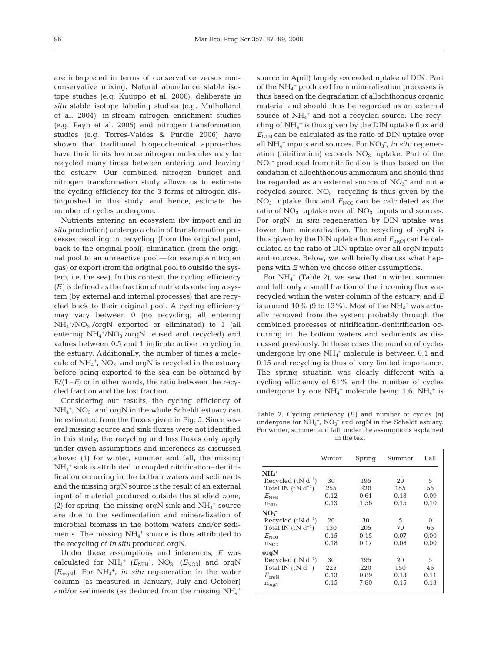are interpreted in terms of conservative versus nonconservative mixing. Natural abundance stable isotope studies (e.g. Kuuppo et al. 2006), deliberate *in situ* stable isotope labeling studies (e.g. Mulholland et al. 2004), in-stream nitrogen enrichment studies (e.g. Payn et al. 2005) and nitrogen transformation studies (e.g. Torres-Valdes & Purdie 2006) have shown that traditional biogeochemical approaches have their limits because nitrogen molecules may be recycled many times between entering and leaving the estuary. Our combined nitrogen budget and nitrogen transformation study allows us to estimate the cycling efficiency for the 3 forms of nitrogen distinguished in this study, and hence, estimate the number of cycles undergone.

Nutrients entering an ecosystem (by import and *in situ* production) undergo a chain of transformation processes resulting in recycling (from the original pool, back to the original pool), elimination (from the original pool to an unreactive pool — for example nitrogen gas) or export (from the original pool to outside the system, i.e. the sea). In this context, the cycling efficiency (*E)* is defined as the fraction of nutrients entering a system (by external and internal processes) that are recycled back to their original pool. A cycling efficiency may vary between 0 (no recycling, all entering NH4 +/NO3 – /orgN exported or eliminated) to 1 (all entering  $NH_4^+/NO_3^-/orgN$  reused and recycled) and values between 0.5 and 1 indicate active recycling in the estuary. Additionally, the number of times a molecule of  $NH_4^+$ ,  $NO_3^-$  and orgN is recycled in the estuary before being exported to the sea can be obtained by  $E/(1-E)$  or in other words, the ratio between the recycled fraction and the lost fraction.

Considering our results, the cycling efficiency of  $NH_4^+$ ,  $NO_3^-$  and org $N$  in the whole Scheldt estuary can be estimated from the fluxes given in Fig. 5. Since several missing source and sink fluxes were not identified in this study, the recycling and loss fluxes only apply under given assumptions and inferences as discussed above: (1) for winter, summer and fall, the missing NH4 <sup>+</sup> sink is attributed to coupled nitrification–denitrification occurring in the bottom waters and sediments and the missing orgN source is the result of an external input of material produced outside the studied zone; (2) for spring, the missing orgN sink and  $NH_4$ <sup>+</sup> source are due to the sedimentation and mineralization of microbial biomass in the bottom waters and/or sediments. The missing  $NH_4^+$  source is thus attributed to the recycling of *in situ* produced orgN.

Under these assumptions and inferences, *E* was calculated for  $NH_4^+$  ( $E_{NH4}$ ),  $NO_3^-$  ( $E_{NO3}$ ) and orgN  $(E_{\text{orgN}})$ . For NH<sub>4</sub><sup>+</sup>, *in situ* regeneration in the water column (as measured in January, July and October) and/or sediments (as deduced from the missing  $\mathrm{NH}_4{}^+$ 

source in April) largely exceeded uptake of DIN. Part of the NH4 <sup>+</sup> produced from mineralization processes is thus based on the degradation of allochthonous organic material and should thus be regarded as an external source of  $NH_4^+$  and not a recycled source. The recycling of NH4 <sup>+</sup> is thus given by the DIN uptake flux and  $E<sub>NH4</sub>$  can be calculated as the ratio of DIN uptake over all  $NH_4^+$  inputs and sources. For  $NO_3^-$ , *in situ* regeneration (nitrification) exceeds  $NO<sub>3</sub><sup>-</sup>$  uptake. Part of the NO3 – produced from nitrification is thus based on the oxidation of allochthonous ammonium and should thus be regarded as an external source of  $NO<sub>3</sub><sup>-</sup>$  and not a recycled source.  $NO<sub>3</sub><sup>-</sup>$  recycling is thus given by the NO<sub>3</sub><sup>-</sup> uptake flux and  $E_{NOS}$  can be calculated as the ratio of  $NO<sub>3</sub><sup>-</sup>$  uptake over all  $NO<sub>3</sub><sup>-</sup>$  inputs and sources. For orgN, *in situ* regeneration by DIN uptake was lower than mineralization. The recycling of orgN is thus given by the DIN uptake flux and  $E_{\text{orgN}}$  can be calculated as the ratio of DIN uptake over all orgN inputs and sources. Below, we will briefly discuss what happens with *E* when we choose other assumptions.

For  $NH_4^+$  (Table 2), we saw that in winter, summer and fall, only a small fraction of the incoming flux was recycled within the water column of the estuary, and *E* is around  $10\%$  (9 to  $13\%$ ). Most of the NH $_4^+$  was actually removed from the system probably through the combined processes of nitrification-denitrification occurring in the bottom waters and sediments as discussed previously. In these cases the number of cycles undergone by one  $NH_4^+$  molecule is between 0.1 and 0.15 and recycling is thus of very limited importance. The spring situation was clearly different with a cycling efficiency of 61% and the number of cycles undergone by one  $NH_4^+$  molecule being 1.6.  $NH_4^+$  is

Table 2. Cycling efficiency (*E)* and number of cycles (n) undergone for  $NH_4^+$ ,  $NO_3^-$  and orgN in the Scheldt estuary. For winter, summer and fall, under the assumptions explained in the text

|                        | Winter | Spring | Summer | Fall |
|------------------------|--------|--------|--------|------|
| $NH_4$ <sup>+</sup>    |        |        |        |      |
| Recycled $(N d^{-1})$  | 30     | 195    | 20     | 5    |
| Total IN $(tN d^{-1})$ | 255    | 320    | 155    | 55   |
| $E_{\mathrm{NH4}}$     | 0.12   | 0.61   | 0.13   | 0.09 |
| $n_{\rm NH4}$          | 0.13   | 1.56   | 0.15   | 0.10 |
| NO <sub>3</sub>        |        |        |        |      |
| Recycled $(tN d^{-1})$ | 20     | 30     | 5      | 0    |
| Total IN $(tN d^{-1})$ | 130    | 205    | 70     | 65   |
| $E_{NO3}$              | 0.15   | 0.15   | 0.07   | 0.00 |
| $n_{NO3}$              | 0.18   | 0.17   | 0.08   | 0.00 |
| orgN                   |        |        |        |      |
| Recycled $(tN d^{-1})$ | 30     | 195    | 20     | 5    |
| Total IN $(tN d^{-1})$ | 225    | 220    | 150    | 45   |
| $E_{\rm orgN}$         | 0.13   | 0.89   | 0.13   | 0.11 |
| $n_{orgN}$             | 0.15   | 7.80   | 0.15   | 0.13 |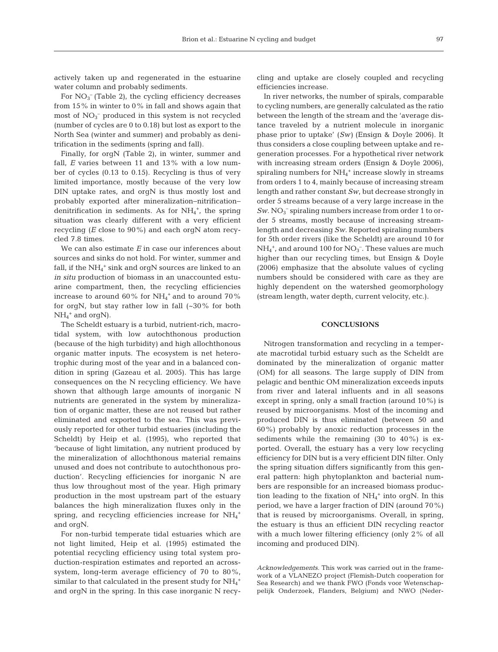actively taken up and regenerated in the estuarine water column and probably sediments.

For  $NO<sub>3</sub><sup>-</sup>$  (Table 2), the cycling efficiency decreases from 15% in winter to 0% in fall and shows again that most of  $NO_3^-$  produced in this system is not recycled (number of cycles are 0 to 0.18) but lost as export to the North Sea (winter and summer) and probably as denitrification in the sediments (spring and fall).

Finally, for orgN (Table 2), in winter, summer and fall, *E* varies between 11 and 13% with a low number of cycles (0.13 to 0.15). Recycling is thus of very limited importance, mostly because of the very low DIN uptake rates, and orgN is thus mostly lost and probably exported after mineralization−nitrification− denitrification in sediments. As for  $NH_4^+$ , the spring situation was clearly different with a very efficient recycling (*E* close to 90%) and each orgN atom recycled 7.8 times.

We can also estimate *E* in case our inferences about sources and sinks do not hold. For winter, summer and fall, if the  $\mathrm{NH}_4{}^+$  sink and org $\mathrm{N}$  sources are linked to an *in situ* production of biomass in an unaccounted estuarine compartment, then, the recycling efficiencies increase to around  $60\%$  for  $NH_4^+$  and to around  $70\%$ for orgN, but stay rather low in fall  $(-30\%$  for both  $NH_4^+$  and orgN).

The Scheldt estuary is a turbid, nutrient-rich, macrotidal system, with low autochthonous production (because of the high turbidity) and high allochthonous organic matter inputs. The ecosystem is net heterotrophic during most of the year and in a balanced condition in spring (Gazeau et al. 2005). This has large consequences on the N recycling efficiency. We have shown that although large amounts of inorganic N nutrients are generated in the system by mineralization of organic matter, these are not reused but rather eliminated and exported to the sea. This was previously reported for other turbid estuaries (including the Scheldt) by Heip et al. (1995), who reported that 'because of light limitation, any nutrient produced by the mineralization of allochthonous material remains unused and does not contribute to autochthonous production'. Recycling efficiencies for inorganic N are thus low throughout most of the year. High primary production in the most upstream part of the estuary balances the high mineralization fluxes only in the spring, and recycling efficiencies increase for  $NH_4^+$ and orgN.

For non-turbid temperate tidal estuaries which are not light limited, Heip et al. (1995) estimated the potential recycling efficiency using total system production-respiration estimates and reported an acrosssystem, long-term average efficiency of 70 to 80%, similar to that calculated in the present study for  $\mathrm{NH}_4^+$ and orgN in the spring. In this case inorganic N recycling and uptake are closely coupled and recycling efficiencies increase.

In river networks, the number of spirals, comparable to cycling numbers, are generally calculated as the ratio between the length of the stream and the 'average distance traveled by a nutrient molecule in inorganic phase prior to uptake' (*Sw)* (Ensign & Doyle 2006). It thus considers a close coupling between uptake and regeneration processes. For a hypothetical river network with increasing stream orders (Ensign & Doyle 2006), spiraling numbers for  $NH_4^+$  increase slowly in streams from orders 1 to 4, mainly because of increasing stream length and rather constant *Sw*, but decrease strongly in order 5 streams because of a very large increase in the  $Sw.$  NO<sub>3</sub><sup>-</sup> spiraling numbers increase from order 1 to order 5 streams, mostly because of increasing streamlength and decreasing *Sw*. Reported spiraling numbers for 5th order rivers (like the Scheldt) are around 10 for  $NH_4^+$ , and around 100 for  $NO_3^-$ . These values are much higher than our recycling times, but Ensign & Doyle (2006) emphasize that the absolute values of cycling numbers should be considered with care as they are highly dependent on the watershed geomorphology (stream length, water depth, current velocity, etc.).

## **CONCLUSIONS**

Nitrogen transformation and recycling in a temperate macrotidal turbid estuary such as the Scheldt are dominated by the mineralization of organic matter (OM) for all seasons. The large supply of DIN from pelagic and benthic OM mineralization exceeds inputs from river and lateral influents and in all seasons except in spring, only a small fraction (around 10%) is reused by microorganisms. Most of the incoming and produced DIN is thus eliminated (between 50 and 60%) probably by anoxic reduction processes in the sediments while the remaining  $(30 \text{ to } 40\%)$  is exported. Overall, the estuary has a very low recycling efficiency for DIN but is a very efficient DIN filter. Only the spring situation differs significantly from this general pattern: high phytoplankton and bacterial numbers are responsible for an increased biomass production leading to the fixation of  $NH_4^+$  into orgN. In this period, we have a larger fraction of DIN (around 70%) that is reused by microorganisms. Overall, in spring, the estuary is thus an efficient DIN recycling reactor with a much lower filtering efficiency (only 2% of all incoming and produced DIN).

*Acknowledgements*. This work was carried out in the framework of a VLANEZO project (Flemish-Dutch cooperation for Sea Research) and we thank FWO (Fonds voor Wetenschappelijk Onderzoek, Flanders, Belgium) and NWO (Neder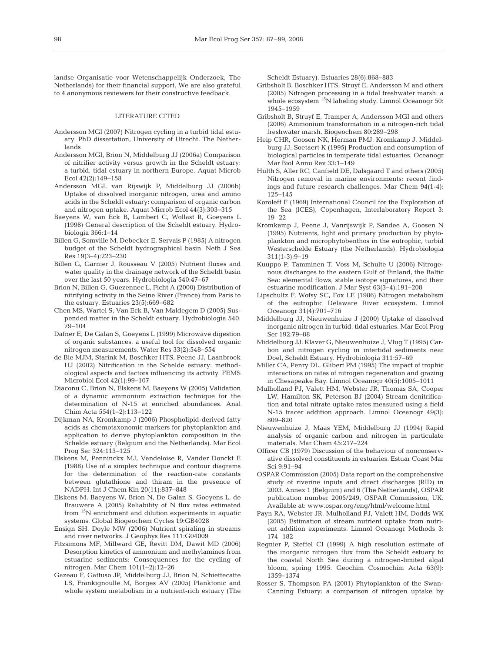landse Organisatie voor Wetenschappelijk Onderzoek, The Netherlands) for their financial support. We are also grateful to 4 anonymous reviewers for their constructive feedback.

#### LITERATURE CITED

- Andersson MGI (2007) Nitrogen cycling in a turbid tidal estuary. PhD dissertation, University of Utrecht, The Netherlands
- Andersson MGI, Brion N, Middelburg JJ (2006a) Comparison of nitrifier activity versus growth in the Scheldt estuary: a turbid, tidal estuary in northern Europe. Aquat Microb Ecol 42(2):149−158
- Andersson MGI, van Rijswijk P, Middelburg JJ (2006b) Uptake of dissolved inorganic nitrogen, urea and amino acids in the Scheldt estuary: comparison of organic carbon and nitrogen uptake. Aquat Microb Ecol 44(3):303−315
- Baeyens W, van Eck B, Lambert C, Wollast R, Goeyens L (1998) General description of the Scheldt estuary. Hydrobiologia 366:1−14
- Billen G, Somville M, Debecker E, Servais P (1985) A nitrogen budget of the Scheldt hydrographical basin. Neth J Sea Res 19(3−4):223−230
- Billen G, Garnier J, Rousseau V (2005) Nutrient fluxes and water quality in the drainage network of the Scheldt basin over the last 50 years. Hydrobiologia 540:47−67
- Brion N, Billen G, Guezennec L, Ficht A (2000) Distribution of nitrifying activity in the Seine River (France) from Paris to the estuary. Estuaries 23(5):669−682
- Chen MS, Wartel S, Van Eck B, Van Maldegem D (2005) Suspended matter in the Scheldt estuary. Hydrobiologia 540: 79−104
- Dafner E, De Galan S, Goeyens L (1999) Microwave digestion of organic substances, a useful tool for dissolved organic nitrogen measurements. Water Res 33(2):548−554
- de Bie MJM, Starink M, Boschker HTS, Peene JJ, Laanbroek HJ (2002) Nitrification in the Schelde estuary: methodological aspects and factors influencing its activity. FEMS Microbiol Ecol 42(1):99−107
- Diaconu C, Brion N, Elskens M, Baeyens W (2005) Validation of a dynamic ammonium extraction technique for the determination of N-15 at enriched abundances. Anal Chim Acta 554(1−2):113−122
- Dijkman NA, Kromkamp J (2006) Phospholipid-derived fatty acids as chemotaxonomic markers for phytoplankton and application to derive phytoplankton composition in the Schelde estuary (Belgium and the Netherlands). Mar Ecol Prog Ser 324:113−125
- Elskens M, Penninckx MJ, Vandeloise R, Vander Donckt E (1988) Use of a simplex technique and contour diagrams for the determination of the reaction-rate constants between glutathione and thiram in the presence of NADPH. Int J Chem Kin 20(11):837−848
- Elskens M, Baeyens W, Brion N, De Galan S, Goeyens L, de Brauwere A (2005) Reliability of N flux rates estimated from 15N enrichment and dilution experiments in aquatic systems. Global Biogeochem Cycles 19:GB4028
- Ensign SH, Doyle MW (2006) Nutrient spiraling in streams and river networks. J Geophys Res 111:G04009
- Fitzsimons MF, Millward GE, Revitt DM, Dawit MD (2006) Desorption kinetics of ammonium and methylamines from estuarine sediments: Consequences for the cycling of nitrogen. Mar Chem 101(1−2):12−26
- Gazeau F, Gattuso JP, Middelburg JJ, Brion N, Schiettecatte LS, Frankignoulle M, Borges AV (2005) Planktonic and whole system metabolism in a nutrient-rich estuary (The

Scheldt Estuary). Estuaries 28(6):868−883

- Gribsholt B, Boschker HTS, Struyf E, Andersson M and others (2005) Nitrogen processing in a tidal freshwater marsh: a whole ecosystem <sup>15</sup>N labeling study. Limnol Oceanogr 50: 1945−1959
- Gribsholt B, Struyf E, Tramper A, Andersson MGI and others (2006) Ammonium transformation in a nitrogen-rich tidal freshwater marsh. Biogeochem 80:289−298
- Heip CHR, Goosen NK, Herman PMJ, Kromkamp J, Middelburg JJ, Soetaert K (1995) Production and consumption of biological particles in temperate tidal estuaries. Oceanogr Mar Biol Annu Rev 33:1−149
- Hulth S, Aller RC, Canfield DE, Dalsgaard T and others (2005) Nitrogen removal in marine environments: recent findings and future research challenges. Mar Chem 94(1-4): 125−145
- Koroleff F (1969) International Council for the Exploration of the Sea (ICES), Copenhagen, Interlaboratory Report 3: 19–22
- Kromkamp J, Peene J, Vanrijswijk P, Sandee A, Goosen N (1995) Nutrients, light and primary production by phytoplankton and microphytobenthos in the eutrophic, turbid Westerschelde Estuary (the Netherlands). Hydrobiologia 311(1-3):9−19
- Kuuppo P, Tamminen T, Voss M, Schulte U (2006) Nitrogenous discharges to the eastern Gulf of Finland, the Baltic Sea: elemental flows, stable isotope signatures, and their estuarine modification. J Mar Syst 63(3−4):191−208
- Lipschultz F, Wofsy SC, Fox LE (1986) Nitrogen metabolism of the eutrophic Delaware River ecosystem. Limnol Oceanogr 31(4):701−716
- Middelburg JJ, Nieuwenhuize J (2000) Uptake of dissolved inorganic nitrogen in turbid, tidal estuaries. Mar Ecol Prog Ser 192:79−88
- Middelburg JJ, Klaver G, Nieuwenhuize J, Vlug T (1995) Carbon and nitrogen cycling in intertidal sediments near Doel, Scheldt Estuary. Hydrobiologia 311:57−69
- Miller CA, Penry DL, Glibert PM (1995) The impact of trophic interactions on rates of nitrogen regeneration and grazing in Chesapeake Bay. Limnol Oceanogr 40(5):1005−1011
- Mulholland PJ, Valett HM, Webster JR, Thomas SA, Cooper LW, Hamilton SK, Peterson BJ (2004) Stream denitrification and total nitrate uptake rates measured using a field N-15 tracer addition approach. Limnol Oceanogr 49(3): 809−820
- Nieuwenhuize J, Maas YEM, Middelburg JJ (1994) Rapid analysis of organic carbon and nitrogen in particulate materials. Mar Chem 45:217−224
- Officer CB (1979) Discussion of the behaviour of nonconservative dissolved constituents in estuaries. Estuar Coast Mar Sci 9:91−94
- OSPAR Commission (2005) Data report on the comprehensive study of riverine inputs and direct discharges (RID) in 2003. Annex 1 (Belgium) and 6 (The Netherlands), OSPAR publication number 2005/249, OSPAR Commission, UK. Available at: www.ospar.org/eng/html/welcome.html
- Payn RA, Webster JR, Mulholland PJ, Valett HM, Dodds WK (2005) Estimation of stream nutrient uptake from nutrient addition experiments. Limnol Oceanogr Methods 3: 174–182
- Regnier P, Steffel CI (1999) A high resolution estimate of the inorganic nitrogen flux from the Scheldt estuary to the coastal North Sea during a nitrogen-limited algal bloom, spring 1995. Geochim Cosmochim Acta 63(9): 1359−1374
- Rosser S, Thompson PA (2001) Phytoplankton of the Swan-Canning Estuary: a comparison of nitrogen uptake by